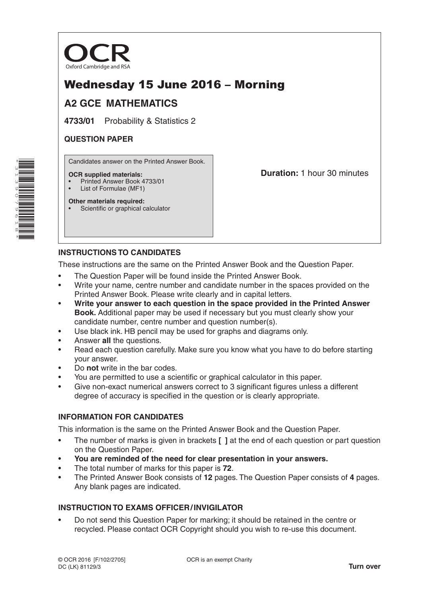

# Wednesday 15 June 2016 – Morning

## **A2 GCE MATHEMATICS**

**4733/01** Probability & Statistics 2

### **QUESTION PAPER**

Candidates answer on the Printed Answer Book.

#### **OCR supplied materials:**

• Printed Answer Book 4733/01

• Scientific or graphical calculator

List of Formulae (MF1) **Other materials required:** **Duration:** 1 hour 30 minutes

## **INSTRUCTIONS TO CANDIDATES**

These instructions are the same on the Printed Answer Book and the Question Paper.

- The Question Paper will be found inside the Printed Answer Book.
- Write your name, centre number and candidate number in the spaces provided on the Printed Answer Book. Please write clearly and in capital letters.
- **Write your answer to each question in the space provided in the Printed Answer Book.** Additional paper may be used if necessary but you must clearly show your candidate number, centre number and question number(s).
- Use black ink. HB pencil may be used for graphs and diagrams only.
- Answer **all** the questions.
- Read each question carefully. Make sure you know what you have to do before starting your answer.
- Do **not** write in the bar codes.
- You are permitted to use a scientific or graphical calculator in this paper.
- Give non-exact numerical answers correct to 3 significant figures unless a different degree of accuracy is specified in the question or is clearly appropriate.

### **INFORMATION FOR CANDIDATES**

This information is the same on the Printed Answer Book and the Question Paper.

- The number of marks is given in brackets **[ ]** at the end of each question or part question on the Question Paper.
- **You are reminded of the need for clear presentation in your answers.**
- The total number of marks for this paper is **72**.
- The Printed Answer Book consists of **12** pages. The Question Paper consists of **4** pages. Any blank pages are indicated.

### **INSTRUCTION TO EXAMS OFFICER/INVIGILATOR**

• Do not send this Question Paper for marking; it should be retained in the centre or recycled. Please contact OCR Copyright should you wish to re-use this document.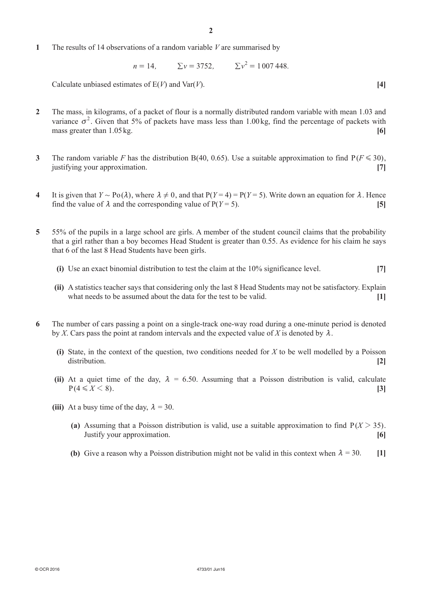**1**  The results of 14 observations of a random variable *V* are summarised by

 $n = 14$ ,  $\Sigma v = 3752$ ,  $\Sigma v^2 = 1007448$ .

Calculate unbiased estimates of  $E(V)$  and  $Var(V)$ . [4]

- **2**  The mass, in kilograms, of a packet of flour is a normally distributed random variable with mean 1.03 and variance  $\sigma^2$ . Given that 5% of packets have mass less than 1.00 kg, find the percentage of packets with mass greater than 1.05 kg. **[6] [6] [6] [6] [6] [6] [6] [6] [6] [6] [6] [6] [6] [6] [6] [6] [6] [6] [6] [6] [6] [6] [6] [6] [6] [6] [6] [6] [6] [6] [6] [6] [6**
- **3** The random variable *F* has the distribution B(40, 0.65). Use a suitable approximation to find  $P(F \le 30)$ , justifying your approximation. **[7]**
- **4** It is given that  $Y \sim Po(\lambda)$ , where  $\lambda \neq 0$ , and that  $P(Y = 4) = P(Y = 5)$ . Write down an equation for  $\lambda$ . Hence find the value of  $\lambda$  and the corresponding value of  $P(Y = 5)$ . [5]
- **5**  55% of the pupils in a large school are girls. A member of the student council claims that the probability that a girl rather than a boy becomes Head Student is greater than 0.55. As evidence for his claim he says that 6 of the last 8 Head Students have been girls.
	- **(i)** Use an exact binomial distribution to test the claim at the 10% significance level. [7]
	- **(ii)** A statistics teacher says that considering only the last 8 Head Students may not be satisfactory. Explain what needs to be assumed about the data for the test to be valid. **[1]**
- **6**  The number of cars passing a point on a single-track one-way road during a one-minute period is denoted by *X*. Cars pass the point at random intervals and the expected value of *X* is denoted by  $\lambda$ .
	- **(i)** State, in the context of the question, two conditions needed for  $X$  to be well modelled by a Poisson distribution. **[2]**
	- **(ii)** At a quiet time of the day,  $\lambda = 6.50$ . Assuming that a Poisson distribution is valid, calculate  $P(4 \leq X \leq 8).$  [3]
	- **(iii)** At a busy time of the day,  $\lambda = 30$ .
		- **(a)** Assuming that a Poisson distribution is valid, use a suitable approximation to find  $P(X > 35)$ . Justify your approximation. **[6]**
		- **(b)** Give a reason why a Poisson distribution might not be valid in this context when  $\lambda = 30$ . [1]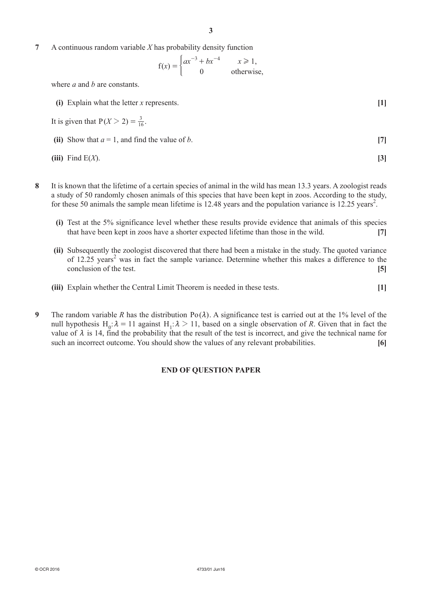**7**  A continuous random variable *X* has probability density function

$$
f(x) = \begin{cases} ax^{-3} + bx^{-4} & x \ge 1, \\ 0 & \text{otherwise,} \end{cases}
$$

where *a* and *b* are constants.

**(i)** Explain what the letter *x* represents. **[1]** 

It is given that 
$$
P(X > 2) = \frac{3}{16}
$$
.

**(ii)** Show that  $a = 1$ , and find the value of *b*. [7]

(iii) Find 
$$
E(X)
$$
. [3]

- **8**  It is known that the lifetime of a certain species of animal in the wild has mean 13.3 years. A zoologist reads a study of 50 randomly chosen animals of this species that have been kept in zoos. According to the study, for these 50 animals the sample mean lifetime is  $12.48$  years and the population variance is  $12.25$  years<sup>2</sup>.
	- **(i)**  Test at the 5% significance level whether these results provide evidence that animals of this species that have been kept in zoos have a shorter expected lifetime than those in the wild. **[7]**
	- **(ii)** Subsequently the zoologist discovered that there had been a mistake in the study. The quoted variance of  $12.25$  years<sup>2</sup> was in fact the sample variance. Determine whether this makes a difference to the conclusion of the test. **[5]**
	- **(iii)** Explain whether the Central Limit Theorem is needed in these tests. [1]
- **9** The random variable *R* has the distribution  $Po(\lambda)$ . A significance test is carried out at the 1% level of the null hypothesis  $H_0$ :  $\lambda = 11$  against  $H_1$ :  $\lambda > 11$ , based on a single observation of *R*. Given that in fact the value of  $\lambda$  is 14, find the probability that the result of the test is incorrect, and give the technical name for such an incorrect outcome. You should show the values of any relevant probabilities. **[6]**

#### **END OF QUESTION PAPER**